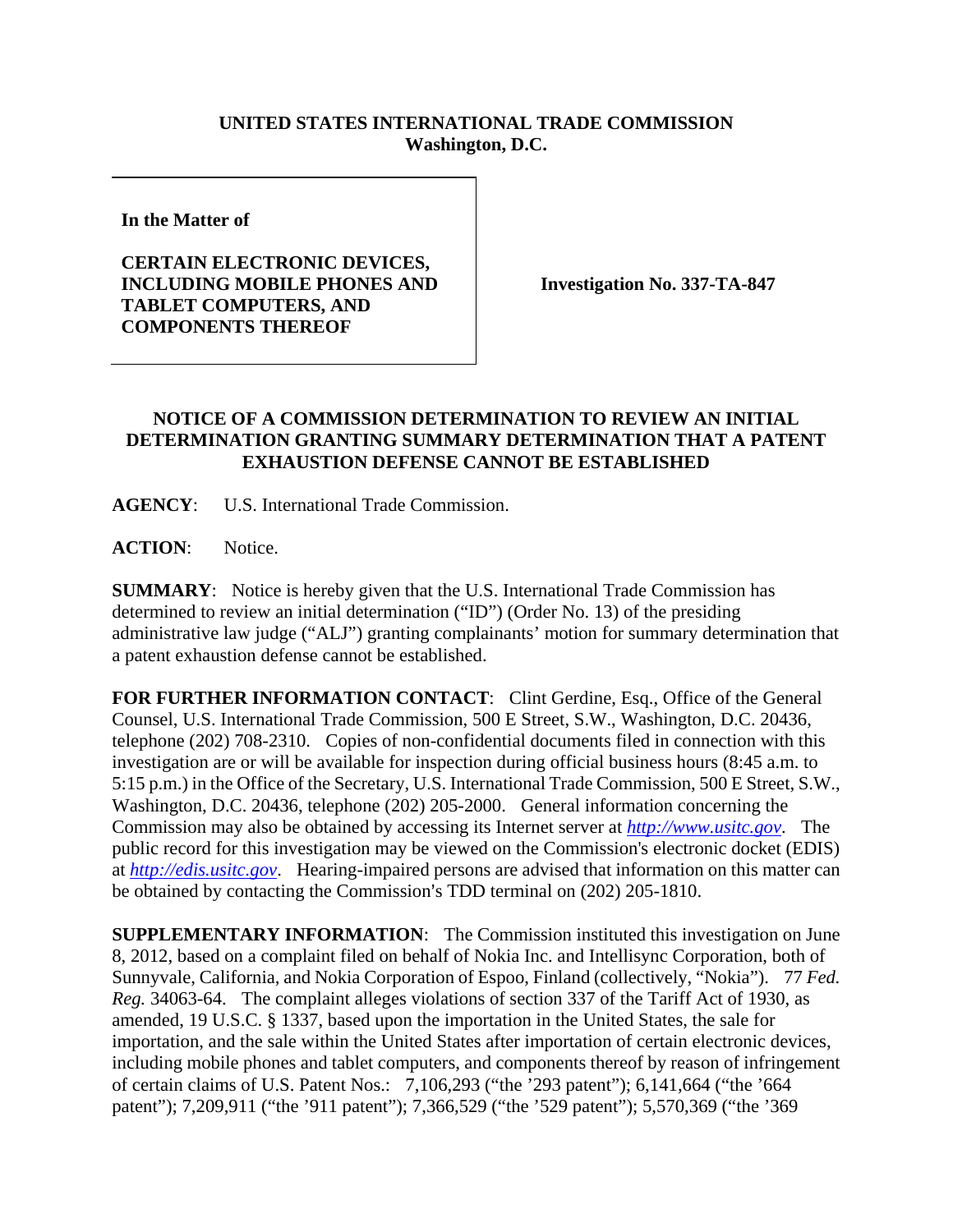## **UNITED STATES INTERNATIONAL TRADE COMMISSION Washington, D.C.**

**In the Matter of** 

## **CERTAIN ELECTRONIC DEVICES, INCLUDING MOBILE PHONES AND TABLET COMPUTERS, AND COMPONENTS THEREOF**

**Investigation No. 337-TA-847** 

## **NOTICE OF A COMMISSION DETERMINATION TO REVIEW AN INITIAL DETERMINATION GRANTING SUMMARY DETERMINATION THAT A PATENT EXHAUSTION DEFENSE CANNOT BE ESTABLISHED**

**AGENCY**: U.S. International Trade Commission.

**ACTION**: Notice.

**SUMMARY**: Notice is hereby given that the U.S. International Trade Commission has determined to review an initial determination ("ID") (Order No. 13) of the presiding administrative law judge ("ALJ") granting complainants' motion for summary determination that a patent exhaustion defense cannot be established.

**FOR FURTHER INFORMATION CONTACT:** Clint Gerdine, Esq., Office of the General Counsel, U.S. International Trade Commission, 500 E Street, S.W., Washington, D.C. 20436, telephone (202) 708-2310. Copies of non-confidential documents filed in connection with this investigation are or will be available for inspection during official business hours (8:45 a.m. to 5:15 p.m.) in the Office of the Secretary, U.S. International Trade Commission, 500 E Street, S.W., Washington, D.C. 20436, telephone (202) 205-2000. General information concerning the Commission may also be obtained by accessing its Internet server at *http://www.usitc.gov*. The public record for this investigation may be viewed on the Commission's electronic docket (EDIS) at *http://edis.usitc.gov*. Hearing-impaired persons are advised that information on this matter can be obtained by contacting the Commission's TDD terminal on (202) 205-1810.

**SUPPLEMENTARY INFORMATION**: The Commission instituted this investigation on June 8, 2012, based on a complaint filed on behalf of Nokia Inc. and Intellisync Corporation, both of Sunnyvale, California, and Nokia Corporation of Espoo, Finland (collectively, "Nokia"). 77 *Fed. Reg.* 34063-64. The complaint alleges violations of section 337 of the Tariff Act of 1930, as amended, 19 U.S.C. § 1337, based upon the importation in the United States, the sale for importation, and the sale within the United States after importation of certain electronic devices, including mobile phones and tablet computers, and components thereof by reason of infringement of certain claims of U.S. Patent Nos.: 7,106,293 ("the '293 patent"); 6,141,664 ("the '664 patent"); 7,209,911 ("the '911 patent"); 7,366,529 ("the '529 patent"); 5,570,369 ("the '369